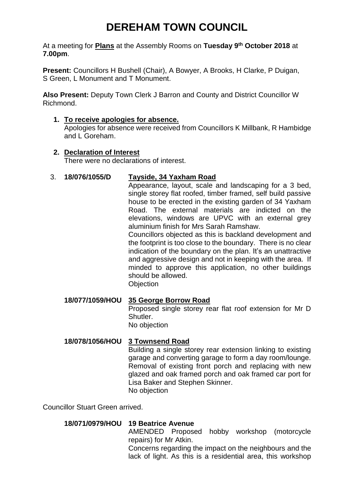# **DEREHAM TOWN COUNCIL**

At a meeting for **Plans** at the Assembly Rooms on **Tuesday 9 th October 2018** at **7.00pm**.

**Present:** Councillors H Bushell (Chair), A Bowyer, A Brooks, H Clarke, P Duigan, S Green, L Monument and T Monument.

**Also Present:** Deputy Town Clerk J Barron and County and District Councillor W Richmond.

**1. To receive apologies for absence.** 

Apologies for absence were received from Councillors K Millbank, R Hambidge and L Goreham.

# **2. Declaration of Interest**

There were no declarations of interest.

# 3. **18/076/1055/D Tayside, 34 Yaxham Road**

Appearance, layout, scale and landscaping for a 3 bed, single storey flat roofed, timber framed, self build passive house to be erected in the existing garden of 34 Yaxham Road. The external materials are indicted on the elevations, windows are UPVC with an external grey aluminium finish for Mrs Sarah Ramshaw.

Councillors objected as this is backland development and the footprint is too close to the boundary. There is no clear indication of the boundary on the plan. It's an unattractive and aggressive design and not in keeping with the area. If minded to approve this application, no other buildings should be allowed. **Objection** 

**18/077/1059/HOU 35 George Borrow Road** Proposed single storey rear flat roof extension for Mr D Shutler. No objection

# **18/078/1056/HOU 3 Townsend Road**

Building a single storey rear extension linking to existing garage and converting garage to form a day room/lounge. Removal of existing front porch and replacing with new glazed and oak framed porch and oak framed car port for Lisa Baker and Stephen Skinner. No objection

Councillor Stuart Green arrived.

# **18/071/0979/HOU 19 Beatrice Avenue**

AMENDED Proposed hobby workshop (motorcycle repairs) for Mr Atkin.

Concerns regarding the impact on the neighbours and the lack of light. As this is a residential area, this workshop